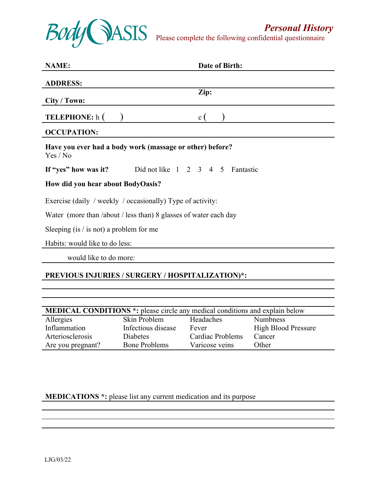

Please complete the following confidential questionnaire

| <b>NAME:</b>                                                         | Date of Birth:                                                  |  |  |  |
|----------------------------------------------------------------------|-----------------------------------------------------------------|--|--|--|
| <b>ADDRESS:</b>                                                      |                                                                 |  |  |  |
| City / Town:                                                         | Zip:                                                            |  |  |  |
| <b>TELEPHONE:</b> h (                                                | $\mathbf{c}$                                                    |  |  |  |
| <b>OCCUPATION:</b>                                                   |                                                                 |  |  |  |
| Have you ever had a body work (massage or other) before?<br>Yes / No |                                                                 |  |  |  |
|                                                                      | If "yes" how was it? Did not like $1 \t2 \t3 \t4 \t5$ Fantastic |  |  |  |
| How did you hear about BodyOasis?                                    |                                                                 |  |  |  |
| Exercise (daily / weekly / occasionally) Type of activity:           |                                                                 |  |  |  |
| Water (more than /about / less than) 8 glasses of water each day     |                                                                 |  |  |  |
| Sleeping (is $/$ is not) a problem for me                            |                                                                 |  |  |  |
| Habits: would like to do less:                                       |                                                                 |  |  |  |
| would like to do more:                                               |                                                                 |  |  |  |
|                                                                      | PREVIOUS INJURIES / SURGERY / HOSPITALIZATION)*:                |  |  |  |

| <b>MEDICAL CONDITIONS</b> *: please circle any medical conditions and explain below |                      |                  |                            |  |
|-------------------------------------------------------------------------------------|----------------------|------------------|----------------------------|--|
| Allergies                                                                           | Skin Problem         | Headaches        | <b>Numbness</b>            |  |
| Inflammation                                                                        | Infectious disease   | Fever            | <b>High Blood Pressure</b> |  |
| Arteriosclerosis                                                                    | <b>Diabetes</b>      | Cardiac Problems | Cancer                     |  |
| Are you pregnant?                                                                   | <b>Bone Problems</b> | Varicose veins   | Other                      |  |

## **MEDICATIONS \*:** please list any current medication and its purpose